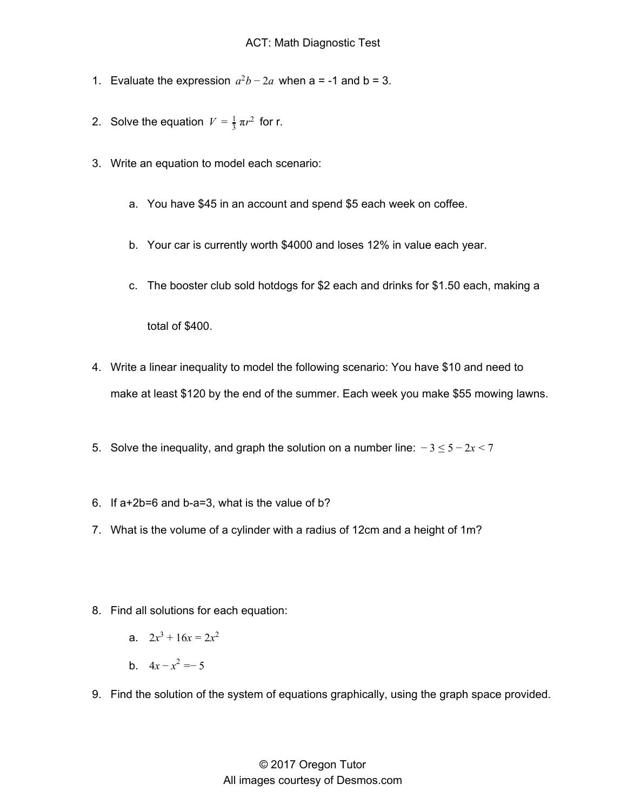- 1. Evaluate the expression  $a^2b 2a$  when a = -1 and b = 3.
- 2. Solve the equation  $V = \frac{1}{3} \pi r^2$  for r.
- 3. Write an equation to model each scenario:
	- a. You have \$45 in an account and spend \$5 each week on coffee.
	- b. Your car is currently worth \$4000 and loses 12% in value each year.
	- c. The booster club sold hotdogs for \$2 each and drinks for \$1.50 each, making a

total of \$400.

- 4. Write a linear inequality to model the following scenario: You have \$10 and need to make at least \$120 by the end of the summer. Each week you make \$55 mowing lawns.
- 5. Solve the inequality, and graph the solution on a number line: − 3 ≤ 5 − 2*x* < 7
- 6. If a+2b=6 and b-a=3, what is the value of b?
- 7. What is the volume of a cylinder with a radius of 12cm and a height of 1m?
- 8. Find all solutions for each equation:
	- a.  $2x^3 + 16x = 2x^2$
	- b.  $4x x^2 = -5$
- 9. Find the solution of the system of equations graphically, using the graph space provided.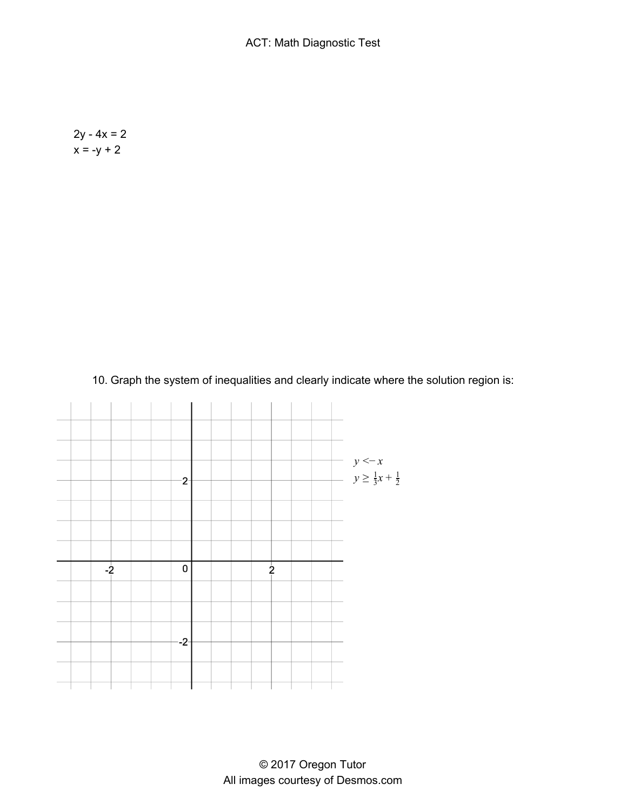$2y - 4x = 2$  $x = -y + 2$ 

10. Graph the system of inequalities and clearly indicate where the solution region is:

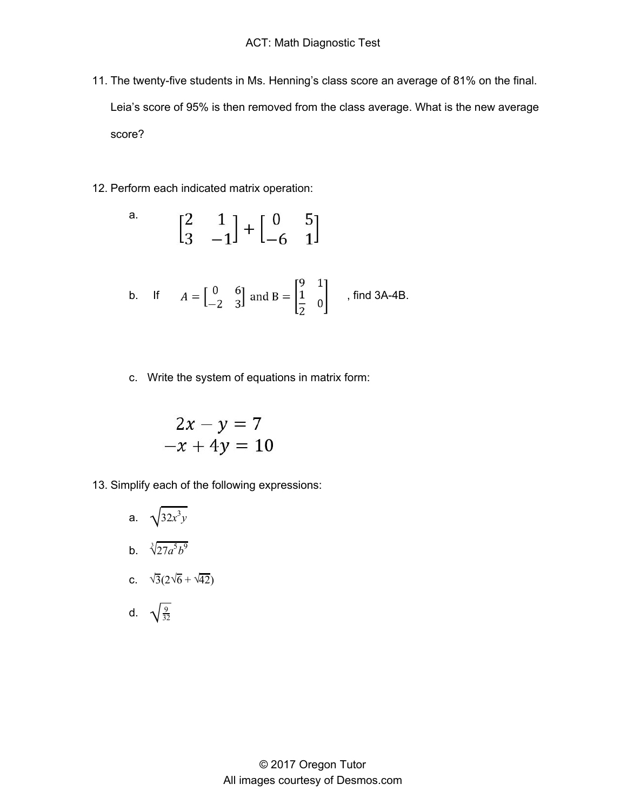- 11. The twenty-five students in Ms. Henning's class score an average of 81% on the final. Leia's score of 95% is then removed from the class average. What is the new average score?
- 12. Perform each indicated matrix operation:

a. 
$$
\begin{bmatrix} 2 & 1 \\ 3 & -1 \end{bmatrix} + \begin{bmatrix} 0 & 5 \\ -6 & 1 \end{bmatrix}
$$

b. If 
$$
A = \begin{bmatrix} 0 & 6 \\ -2 & 3 \end{bmatrix}
$$
 and  $B = \begin{bmatrix} 9 & 1 \\ \frac{1}{2} & 0 \end{bmatrix}$ , find 3A-4B.

c. Write the system of equations in matrix form:

$$
2x - y = 7
$$
  
-x + 4y = 10

13. Simplify each of the following expressions:

a. 
$$
\sqrt{32x^3y}
$$
  
\nb.  $\sqrt[3]{27a^5b^9}$   
\nc.  $\sqrt{3}(2\sqrt{6} + \sqrt{42})$ 

d. 
$$
\sqrt{\frac{9}{32}}
$$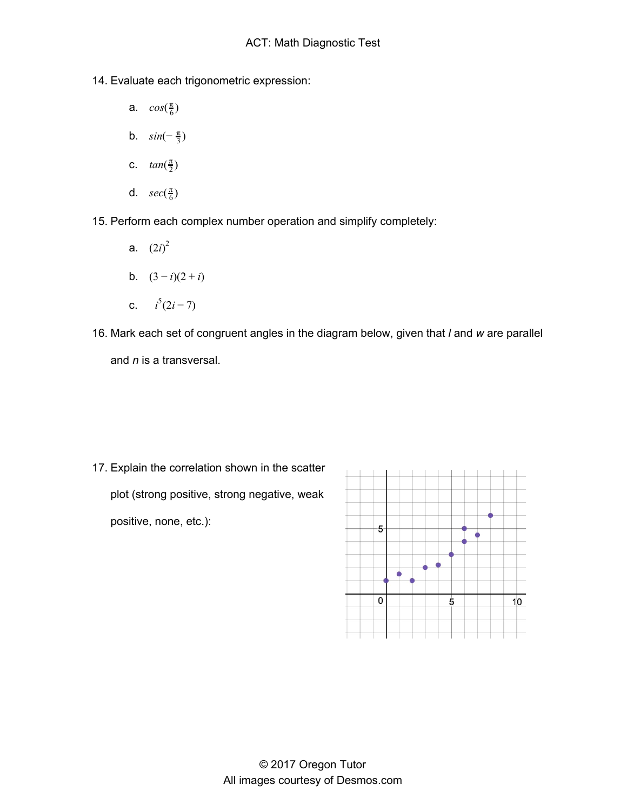- 14. Evaluate each trigonometric expression:
	- a.  $cos(\frac{\pi}{6})$
	- b.  $sin(-\frac{\pi}{3})$
	- c.  $tan(\frac{\pi}{2})$
	- d.  $sec(\frac{\pi}{6})$
- 15. Perform each complex number operation and simplify completely:
	- a.  $(2i)^2$ b.  $(3-i)(2+i)$
	- c.  $i^5(2i-7)$
- 16. Mark each set of congruent angles in the diagram below, given that *l* and *w* are parallel and *n* is a transversal.

17. Explain the correlation shown in the scatter plot (strong positive, strong negative, weak positive, none, etc.):